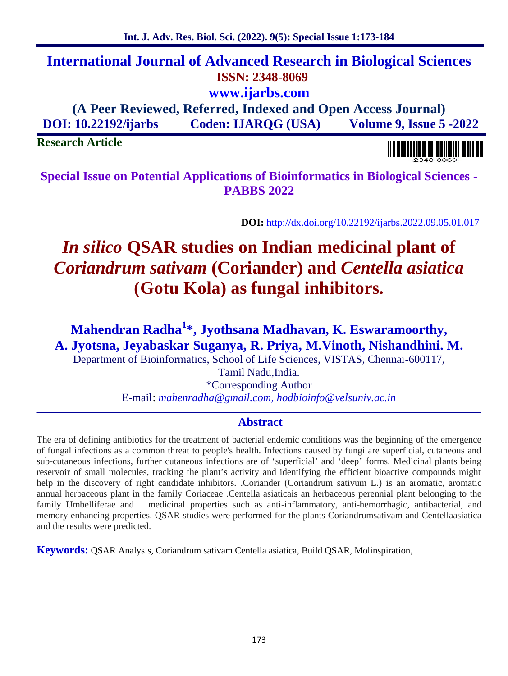# **International Journal of Advanced Research in Biological Sciences ISSN: 2348-8069 www.ijarbs.com**

**(A Peer Reviewed, Referred, Indexed and Open Access Journal) DOI: 10.22192/ijarbs Coden: IJARQG (USA) Volume 9, Issue 5 -2022**

**Research Article**

**Special Issue on Potential Applications of Bioinformatics in Biological Sciences - PABBS 2022**

**DOI:** http://dx.doi.org/10.22192/ijarbs.2022.09.05.01.017

# *In silico* **QSAR studies on Indian medicinal plant of** *Coriandrum sativam* **(Coriander) and** *Centella asiatica* **(Gotu Kola) as fungal inhibitors.**

**Mahendran Radha<sup>1</sup>\*, Jyothsana Madhavan, K. Eswaramoorthy, A. Jyotsna, Jeyabaskar Suganya, R. Priya, M.Vinoth, Nishandhini. M.**

Department of Bioinformatics, School of Life Sciences, VISTAS, Chennai-600117,

Tamil Nadu,India.

\*Corresponding Author E-mail: *mahenradha@gmail.com, hodbioinfo@velsuniv.ac.in*

# **Abstract**

The era of defining antibiotics for the treatment of bacterial endemic conditions was the beginning of the emergence of fungal infections as a common threat to people's health. Infections caused by fungi are superficial, cutaneous and sub-cutaneous infections, further cutaneous infections are of 'superficial' and 'deep' forms. Medicinal plants being reservoir of small molecules, tracking the plant's activity and identifying the efficient bioactive compounds might help in the discovery of right candidate inhibitors. .Coriander (Coriandrum sativum L.) is an aromatic, aromatic annual herbaceous plant in the family Coriaceae .Centella asiaticais an herbaceous perennial plant belonging to the family Umbelliferae and medicinal properties such as anti-inflammatory, anti-hemorrhagic, antibacterial, and memory enhancing properties. QSAR studies were performed for the plants Coriandrumsativam and Centellaasiatica and the results were predicted.

**Keywords:** QSAR Analysis, Coriandrum sativam Centella asiatica, Build QSAR, Molinspiration,

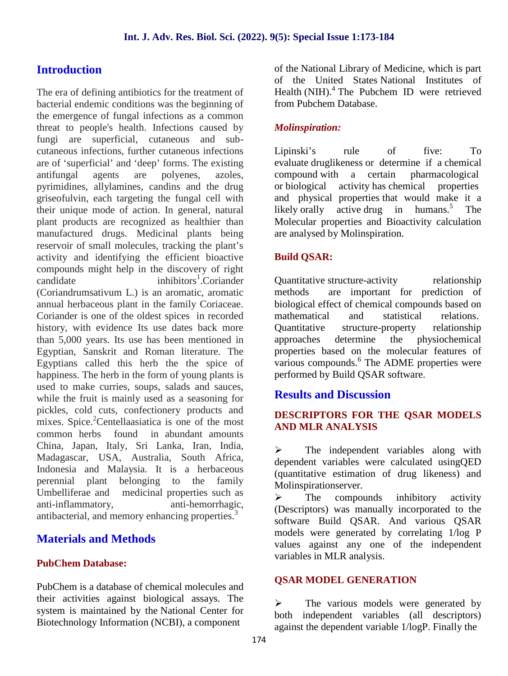# **Introduction**

The era of defining antibiotics for the treatment of bacterial endemic conditions was the beginning of the emergence of fungal infections as a common threat to people's health. Infections caused by fungi are superficial, cutaneous and sub cutaneous infections, further cutaneous infections are of 'superficial' and 'deep' forms. The existing antifungal agents are polyenes, azoles, pyrimidines, allylamines, candins and the drug griseofulvin, each targeting the fungal cell with their unique mode of action. In general, natural plant products are recognized as healthier than manufactured drugs. Medicinal plants being reservoir of small molecules, tracking the plant's activity and identifying the efficient bioactive compounds might help in the discovery of right candidate inhibitors<sup>1</sup>.Coriander (Coriandrumsativum L.) is an aromatic, aromatic annual herbaceous plant in the family Coriaceae. Coriander is one of the oldest spices in recorded history, with evidence Its use dates back more Quantitative than 5,000 years. Its use has been mentioned in Egyptian, Sanskrit and Roman literature. The Egyptians called this herb the the spice of happiness. The herb in the form of young plants is used to make curries, soups, salads and sauces, while the fruit is mainly used as a seasoning for pickles, cold cuts, confectionery products and mixes. Spice.<sup>2</sup>Centellaasiatica is one of the most common herbs found in abundant amounts China, Japan, Italy, Sri Lanka, Iran, India, Madagascar, USA, Australia, South Africa, Indonesia and Malaysia. It is a herbaceous perennial plant belonging to the family Umbelliferae and medicinal properties such as anti-inflammatory, anti-hemorrhagic, antibacterial, and memory enhancing properties.<sup>3</sup>

# **Materials and Methods**

### **PubChem Database:**

PubChem is a database of chemical molecules and their activities against biological assays. The system is maintained by the National Center for Biotechnology Information (NCBI), a component

of the National Library of Medicine, which is part of the United States National Institutes of Health (NIH).<sup>4</sup> The Pubchem ID were retrieved from Pubchem Database.

### *Molinspiration:*

Lipinski's rule of five: To evaluate druglikeness or determine if a chemical compound with a certain pharmacological or biological activity has chemical properties and physical properties that would make it a likely orally active drug in humans.<sup>5</sup> The Molecular properties and Bioactivity calculation are analysed by Molinspiration.

### **Build QSAR:**

Quantitative structure-activity relationship are important for prediction of biological effect of chemical compounds based on mathematical and statistical relations. structure-property relationship determine the physiochemical properties based on the molecular features of various compounds.<sup>6</sup> The ADME properties were performed by Build QSAR software.

# **Results and Discussion**

### **DESCRIPTORS FOR THE QSAR MODELS AND MLR ANALYSIS**

 $\triangleright$  The independent variables along with dependent variables were calculated usingQED (quantitative estimation of drug likeness) and Molinspirationserver.

 $\triangleright$  The compounds inhibitory activity (Descriptors) was manually incorporated to the software Build QSAR. And various QSAR models were generated by correlating 1/log P values against any one of the independent variables in MLR analysis.

### **QSAR MODEL GENERATION**

 The various models were generated by both independent variables (all descriptors) against the dependent variable 1/logP. Finally the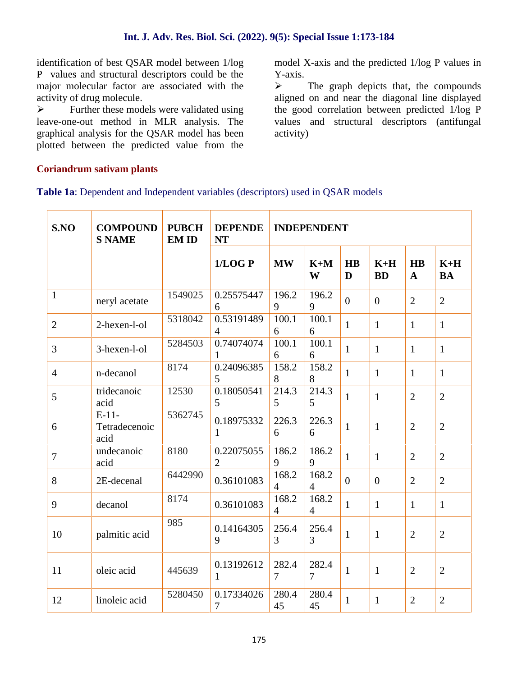identification of best QSAR model between 1/log P values and structural descriptors could be the major molecular factor are associated with the  $\rightarrow$ activity of drug molecule.

 $\triangleright$  Further these models were validated using leave-one-out method in MLR analysis. The graphical analysis for the QSAR model has been plotted between the predicted value from the model X-axis and the predicted 1/log P values in Y-axis.

 The graph depicts that, the compounds aligned on and near the diagonal line displayed the good correlation between predicted 1/log P values and structural descriptors (antifungal activity)

### **Coriandrum sativam plants**

#### **Table 1a**: Dependent and Independent variables (descriptors) used in QSAR models

| S.NO           | <b>COMPOUND</b><br><b>S NAME</b> | <b>PUBCH</b><br><b>EM ID</b> | <b>DEPENDE</b><br><b>NT</b>  |                         | <b>INDEPENDENT</b>      |                |                    |                           |                    |
|----------------|----------------------------------|------------------------------|------------------------------|-------------------------|-------------------------|----------------|--------------------|---------------------------|--------------------|
|                |                                  |                              | 1/LOGP                       | <b>MW</b>               | $K+M$<br>W              | <b>HB</b><br>D | $K+H$<br><b>BD</b> | <b>HB</b><br>$\mathbf{A}$ | $K+H$<br><b>BA</b> |
| $\mathbf{1}$   | neryl acetate                    | 1549025                      | 0.25575447<br>6              | 196.2<br>9              | 196.2<br>9              | $\overline{0}$ | $\overline{0}$     | $\overline{2}$            | $\overline{2}$     |
| $\overline{2}$ | 2-hexen-l-ol                     | 5318042                      | 0.53191489<br>$\overline{4}$ | 100.1<br>6              | 100.1<br>6              | $\mathbf{1}$   | $\mathbf{1}$       | $\mathbf{1}$              | $\mathbf{1}$       |
| $\overline{3}$ | 3-hexen-l-ol                     | 5284503                      | 0.74074074<br>$\mathbf{1}$   | 100.1<br>6              | 100.1<br>6              | $\mathbf{1}$   | $\mathbf{1}$       | $\mathbf{1}$              | $\mathbf{1}$       |
| $\overline{4}$ | n-decanol                        | 8174                         | 0.24096385<br>5              | 158.2<br>8              | 158.2<br>8              | $\mathbf{1}$   | $\mathbf{1}$       | $\mathbf{1}$              | $\mathbf{1}$       |
| 5              | tridecanoic<br>acid              | 12530                        | 0.18050541<br>5              | 214.3<br>$\mathfrak{S}$ | 214.3<br>5 <sup>5</sup> | $\mathbf{1}$   | $\mathbf{1}$       | $\overline{2}$            | $\overline{2}$     |
| 6              | $E-11-$<br>Tetradecenoic<br>acid | 5362745                      | 0.18975332<br>$\mathbf{1}$   | 226.3<br>6              | 226.3<br>6              | $\mathbf{1}$   | $\mathbf{1}$       | $\overline{2}$            | $\overline{2}$     |
| $\tau$         | undecanoic<br>acid               | 8180                         | 0.22075055<br>$\overline{2}$ | 186.2<br>9              | 186.2<br>9              | $\mathbf{1}$   | $\mathbf{1}$       | $\overline{2}$            | $\overline{2}$     |
| 8              | 2E-decenal                       | 6442990                      | 0.36101083                   | 168.2<br>$\overline{4}$ | 168.2<br>$\overline{4}$ | $\overline{0}$ | $\overline{0}$     | $\overline{2}$            | $\overline{2}$     |
| 9              | decanol                          | 8174                         | 0.36101083                   | 168.2<br>$\overline{4}$ | 168.2<br>$\overline{4}$ | $\mathbf{1}$   | $\mathbf{1}$       | $\mathbf{1}$              | $\mathbf{1}$       |
| 10             | palmitic acid                    | 985                          | 0.14164305<br>9              | 256.4<br>$\overline{3}$ | 256.4<br>3              | $\mathbf{1}$   | $\mathbf{1}$       | $\overline{2}$            | $\overline{2}$     |
| 11             | oleic acid                       | 445639                       | 0.13192612<br>$\mathbf{1}$   | 282.4<br>$\overline{7}$ | 282.4<br>$\overline{7}$ | $\mathbf{1}$   | $\mathbf{1}$       | $\overline{2}$            | $\sqrt{2}$         |
| 12             | linoleic acid                    | 5280450                      | 0.17334026<br>7              | 280.4<br>45             | 280.4<br>45             | $\mathbf{1}$   | $\mathbf{1}$       | $\overline{2}$            | $\mathfrak{2}$     |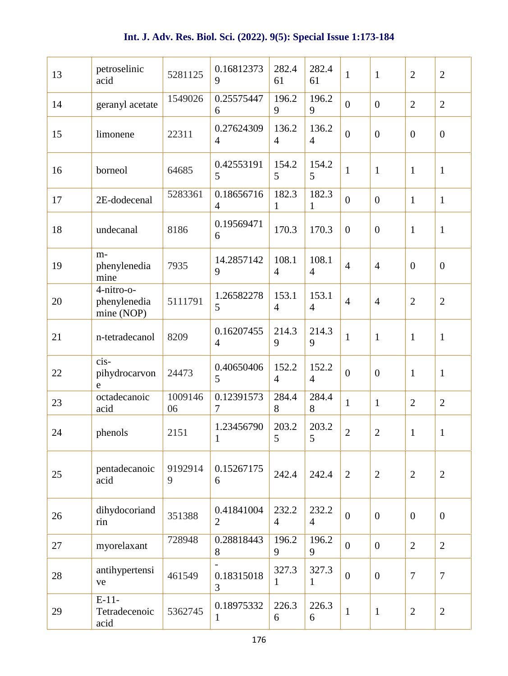| 13 | petroselinic<br>acid                     | 5281125       | 0.16812373<br>9              | 282.4<br>61             | 282.4<br>61             | $\mathbf{1}$     | $\mathbf{1}$     | $\overline{2}$ | $\mathbf{2}$     |
|----|------------------------------------------|---------------|------------------------------|-------------------------|-------------------------|------------------|------------------|----------------|------------------|
| 14 | geranyl acetate                          | 1549026       | 0.25575447<br>6              | 196.2<br>9              | 196.2<br>9              | $\mathbf{0}$     | $\boldsymbol{0}$ | $\overline{2}$ | $\overline{2}$   |
| 15 | limonene                                 | 22311         | 0.27624309<br>$\overline{4}$ | 136.2<br>$\overline{4}$ | 136.2<br>$\overline{4}$ | $\boldsymbol{0}$ | $\boldsymbol{0}$ | $\mathbf{0}$   | $\overline{0}$   |
| 16 | borneol                                  | 64685         | 0.42553191<br>5              | 154.2<br>5              | 154.2<br>5              | $\mathbf{1}$     | $\mathbf{1}$     | $\mathbf{1}$   | $\mathbf{1}$     |
| 17 | 2E-dodecenal                             | 5283361       | 0.18656716<br>$\overline{4}$ | 182.3<br>1              | 182.3<br>1              | $\overline{0}$   | $\boldsymbol{0}$ | $\mathbf{1}$   | $\mathbf{1}$     |
| 18 | undecanal                                | 8186          | 0.19569471<br>6              | 170.3                   | 170.3                   | $\overline{0}$   | $\overline{0}$   | $\mathbf{1}$   | $\mathbf{1}$     |
| 19 | m-<br>phenylenedia<br>mine               | 7935          | 14.2857142<br>9              | 108.1<br>$\overline{4}$ | 108.1<br>$\overline{4}$ | $\overline{4}$   | $\overline{4}$   | $\mathbf{0}$   | $\boldsymbol{0}$ |
| 20 | 4-nitro-o-<br>phenylenedia<br>mine (NOP) | 5111791       | 1.26582278<br>5              | 153.1<br>$\overline{4}$ | 153.1<br>$\overline{4}$ | $\overline{4}$   | $\overline{4}$   | $\overline{2}$ | $\overline{2}$   |
| 21 | n-tetradecanol                           | 8209          | 0.16207455<br>$\overline{4}$ | 214.3<br>9              | 214.3<br>9              | $\mathbf{1}$     | $\mathbf{1}$     | $\mathbf{1}$   | $\mathbf{1}$     |
| 22 | cis-<br>pihydrocarvon<br>e               | 24473         | 0.40650406<br>5              | 152.2<br>$\overline{4}$ | 152.2<br>$\overline{4}$ | $\boldsymbol{0}$ | $\boldsymbol{0}$ | $\mathbf{1}$   | $\mathbf{1}$     |
| 23 | octadecanoic<br>acid                     | 1009146<br>06 | 0.12391573<br>7              | 284.4<br>8              | 284.4<br>8              | $\mathbf{1}$     | $\mathbf{1}$     | $\overline{2}$ | $\overline{2}$   |
| 24 | phenols                                  | 2151          | 1.23456790<br>$\mathbf{1}$   | 203.2<br>5              | 203.2<br>$\mathfrak{S}$ | $\overline{2}$   | $\overline{2}$   | $\mathbf{1}$   | $\mathbf{1}$     |
| 25 | pentadecanoic<br>acid                    | 9192914<br>9  | 0.15267175<br>6              | 242.4                   | 242.4                   | $\overline{2}$   | $\overline{2}$   | $\overline{2}$ | $\overline{2}$   |
| 26 | dihydocoriand<br>rin                     | 351388        | 0.41841004<br>$\overline{2}$ | 232.2<br>$\overline{4}$ | 232.2<br>$\overline{4}$ | $\mathbf{0}$     | $\overline{0}$   | $\overline{0}$ | $\overline{0}$   |
| 27 | myorelaxant                              | 728948        | 0.28818443<br>8              | 196.2<br>9              | 196.2<br>9              | $\boldsymbol{0}$ | $\overline{0}$   | $\overline{2}$ | $\mathbf{2}$     |
| 28 | antihypertensi<br>ve                     | 461549        | 0.18315018<br>3              | 327.3<br>1              | 327.3<br>$\mathbf{1}$   | $\boldsymbol{0}$ | $\boldsymbol{0}$ | $\overline{7}$ | $\tau$           |
| 29 | $E-11-$<br>Tetradecenoic<br>acid         | 5362745       | 0.18975332<br>$\mathbf{1}$   | 226.3<br>6              | 226.3<br>6              | $\mathbf{1}$     | $\mathbf{1}$     | $\sqrt{2}$     | $\mathbf{2}$     |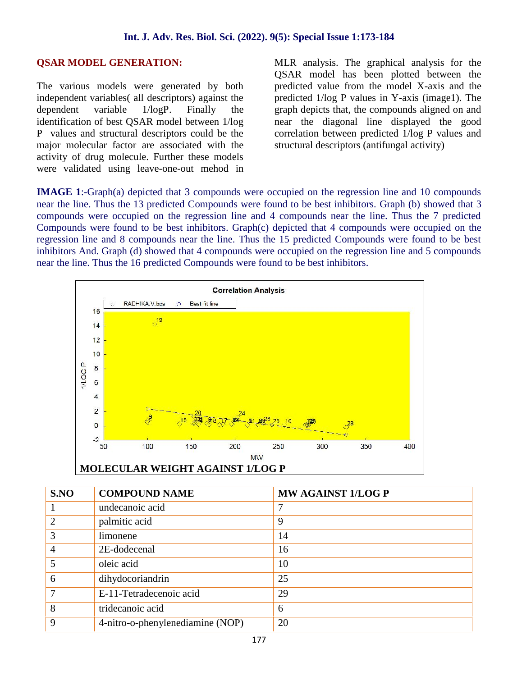### **OSAR MODEL GENERATION:**

The various models were generated by both independent variables( all descriptors) against the dependent variable 1/logP. Finally the identification of best QSAR model between 1/log P values and structural descriptors could be the major molecular factor are associated with the activity of drug molecule. Further these models were validated using leave-one-out mehod in MLR analysis. The graphical analysis for the QSAR model has been plotted between the predicted value from the model X-axis and the predicted 1/log P values in Y-axis (image1). The graph depicts that, the compounds aligned on and near the diagonal line displayed the good correlation between predicted 1/log P values and structural descriptors (antifungal activity)

**IMAGE 1**:-Graph(a) depicted that 3 compounds were occupied on the regression line and 10 compounds near the line. Thus the 13 predicted Compounds were found to be best inhibitors. Graph (b) showed that 3 compounds were occupied on the regression line and 4 compounds near the line. Thus the 7 predicted Compounds were found to be best inhibitors. Graph(c) depicted that 4 compounds were occupied on the regression line and 8 compounds near the line. Thus the 15 predicted Compounds were found to be best inhibitors And. Graph (d) showed that 4 compounds were occupied on the regression line and 5 compounds near the line. Thus the 16 predicted Compounds were found to be best inhibitors.



|--|

| S.NO                  | <b>COMPOUND NAME</b>             | <b>MW AGAINST 1/LOG P</b> |
|-----------------------|----------------------------------|---------------------------|
|                       | undecanoic acid                  |                           |
| $\mathcal{D}_{\cdot}$ | palmitic acid                    | 9                         |
| 3                     | limonene                         | 14                        |
| 4                     | 2E-dodecenal                     | 16                        |
|                       | oleic acid                       | 10                        |
| 6                     | dihydocoriandrin                 | 25                        |
| 7                     | E-11-Tetradecenoic acid          | 29                        |
| 8                     | tridecanoic acid                 | 6                         |
| 9                     | 4-nitro-o-phenylenediamine (NOP) | 20                        |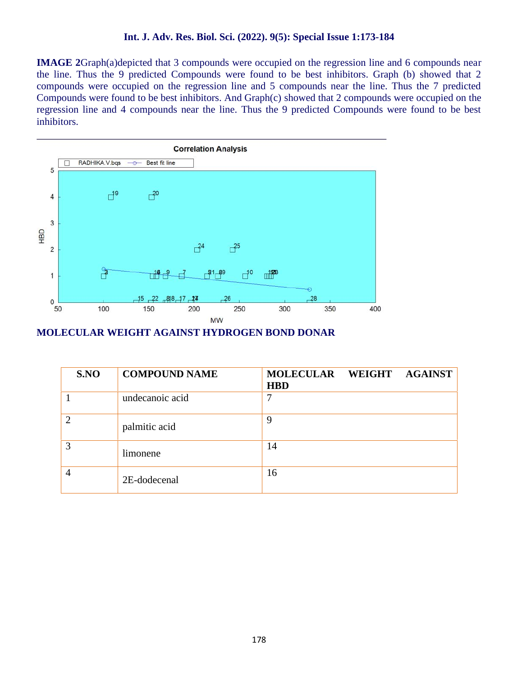**IMAGE 2**Graph(a)depicted that 3 compounds were occupied on the regression line and 6 compounds near the line. Thus the 9 predicted Compounds were found to be best inhibitors. Graph (b) showed that 2 compounds were occupied on the regression line and 5 compounds near the line. Thus the 7 predicted Compounds were found to be best inhibitors. And Graph(c) showed that 2 compounds were occupied on the regression line and 4 compounds near the line. Thus the 9 predicted Compounds were found to be best inhibitors.



**MOLECULAR WEIGHT AGAINST HYDROGEN BOND DONAR**

| S.NO | <b>COMPOUND NAME</b> | MOLECULAR WEIGHT AGAINST<br><b>HBD</b> |
|------|----------------------|----------------------------------------|
|      | undecanoic acid      | ┓                                      |
| 2    | palmitic acid        | 9                                      |
| 3    | limonene             | 14                                     |
| 4    | 2E-dodecenal         | 16                                     |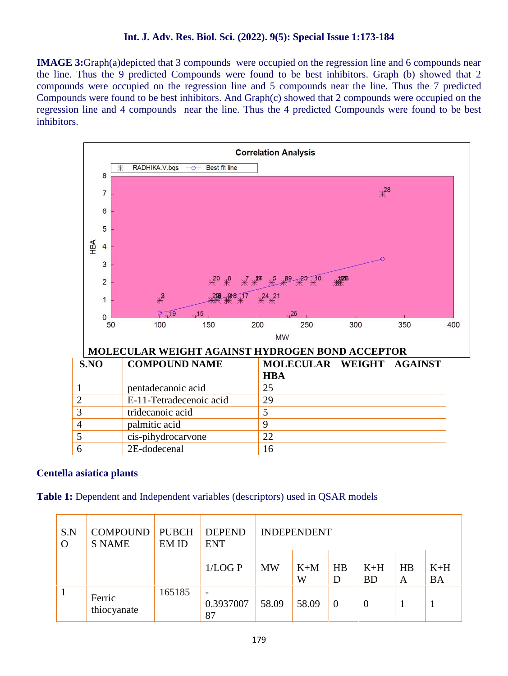**IMAGE 3:**Graph(a)depicted that 3 compounds were occupied on the regression line and 6 compounds near the line. Thus the 9 predicted Compounds were found to be best inhibitors. Graph (b) showed that 2 compounds were occupied on the regression line and 5 compounds near the line. Thus the 7 predicted Compounds were found to be best inhibitors. And Graph(c) showed that 2 compounds were occupied on the regression line and 4 compounds near the line. Thus the 4 predicted Compounds were found to be best inhibitors.



#### **Centella asiatica plants**

**Table 1:** Dependent and Independent variables (descriptors) used in QSAR models

| S.N<br>$\Omega$ | COMPOUND<br><b>S NAME</b> | <b>PUBCH</b><br>EM ID | <b>DEPEND</b><br><b>ENT</b>                 |           | <b>INDEPENDENT</b> |                |                    |         |                    |
|-----------------|---------------------------|-----------------------|---------------------------------------------|-----------|--------------------|----------------|--------------------|---------|--------------------|
|                 |                           |                       | 1/LOGP                                      | <b>MW</b> | $K+M$<br>W         | HB<br>D        | $K+H$<br><b>BD</b> | HB<br>A | $K+H$<br><b>BA</b> |
|                 | Ferric<br>thiocyanate     | 165185                | $\overline{\phantom{a}}$<br>0.3937007<br>87 | 58.09     | 58.09              | $\overline{0}$ | $\theta$           |         |                    |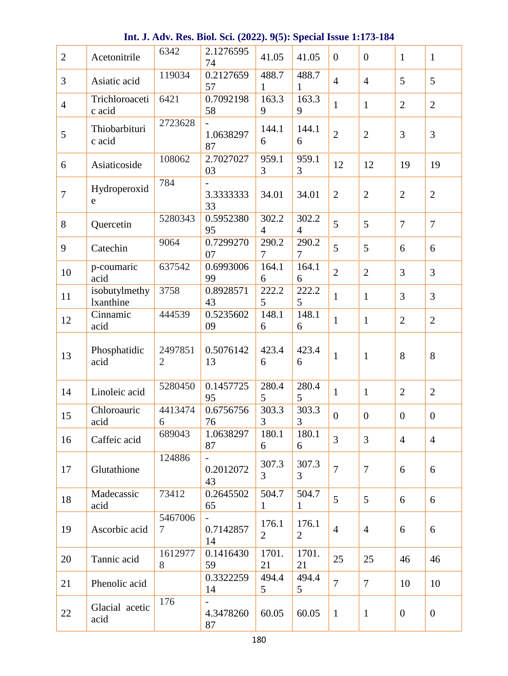| $\overline{2}$ | Acetonitrile                      | 6342                      | 2.1276595<br>74                   | 41.05                   | 41.05                   | $\overline{0}$  | $\overline{0}$ | $\mathbf{1}$   | $\mathbf{1}$   |
|----------------|-----------------------------------|---------------------------|-----------------------------------|-------------------------|-------------------------|-----------------|----------------|----------------|----------------|
| 3              | Asiatic acid                      | 119034                    | 0.2127659<br>57                   | 488.7<br>$\mathbf{1}$   | 488.7<br>$\mathbf{1}$   | $\overline{4}$  | $\overline{4}$ | 5              | 5              |
| $\overline{4}$ | Trichloroaceti<br>c acid          | 6421                      | 0.7092198<br>58                   | 163.3<br>9              | 163.3<br>9              | $\mathbf{1}$    | $\mathbf{1}$   | $\overline{2}$ | $\overline{2}$ |
| 5              | Thiobarbituri<br>c acid           | 2723628                   | 1.0638297<br>87                   | 144.1<br>6              | 144.1<br>6              | $\overline{2}$  | $\mathbf{2}$   | $\overline{3}$ | 3              |
| 6              | Asiaticoside                      | 108062                    | 2.7027027<br>03                   | 959.1<br>3              | 959.1<br>3              | 12              | 12             | 19             | 19             |
| $\overline{7}$ | Hydroperoxid<br>e                 | 784                       | 3.3333333<br>33                   | 34.01                   | 34.01                   | 2               | $\overline{2}$ | $\overline{2}$ | $\overline{2}$ |
| 8              | Quercetin                         | 5280343                   | 0.5952380<br>95                   | 302.2<br>$\overline{4}$ | 302.2<br>$\overline{4}$ | 5               | 5              | $\overline{7}$ | $\overline{7}$ |
| 9              | Catechin                          | 9064                      | 0.7299270<br>07                   | 290.2<br>$\tau$         | 290.2<br>7              | 5               | 5              | 6              | 6              |
| 10             | p-coumaric<br>acid                | 637542                    | 0.6993006<br>99                   | 164.1<br>6              | 164.1<br>6              | $\overline{2}$  | $\overline{2}$ | $\overline{3}$ | $\overline{3}$ |
| 11             | isobutylmethy<br><b>lxanthine</b> | 3758                      | 0.8928571<br>43                   | 222.2<br>5              | 222.2<br>5              | $\mathbf{1}$    | $\mathbf{1}$   | $\overline{3}$ | $\overline{3}$ |
| 12             | Cinnamic<br>acid                  | 444539                    | 0.5235602<br>09                   | 148.1<br>6              | 148.1<br>6              | $\mathbf{1}$    | $\mathbf{1}$   | $\overline{2}$ | $\overline{2}$ |
| 13             | Phosphatidic<br>acid              | 2497851<br>$\overline{2}$ | 0.5076142<br>13                   | 423.4<br>6              | 423.4<br>6              | $\mathbf{1}$    | $\mathbf{1}$   | 8              | 8              |
| 14             | Linoleic acid                     | 5280450                   | 0.1457725<br>95                   | 280.4<br>5              | 280.4<br>5              | $\mathbf{1}$    | $\mathbf{1}$   | $\overline{2}$ | $\overline{2}$ |
| 15             | Chloroauric<br>acid               | 4413474<br>6              | 0.6756756<br>76                   | 303.3<br>3              | 303.3<br>3              | $\overline{0}$  | $\overline{0}$ | $\overline{0}$ | $\mathbf{0}$   |
| 16             | Caffeic acid                      | 689043                    | 1.0638297<br>87                   | 180.1<br>6              | 180.1<br>6              | $\overline{3}$  | $\overline{3}$ | $\overline{4}$ | $\overline{4}$ |
| 17             | Glutathione                       | 124886                    | $\blacksquare$<br>0.2012072<br>43 | 307.3<br>$\overline{3}$ | 307.3<br>3              | $\overline{7}$  | $\overline{7}$ | 6              | 6              |
| 18             | Madecassic<br>acid                | 73412                     | 0.2645502<br>65                   | 504.7<br>$\mathbf{1}$   | 504.7<br>$\mathbf{1}$   | $5\overline{)}$ | 5              | 6              | 6              |
| 19             | Ascorbic acid                     | 5467006<br>$\tau$         | 0.7142857<br>14                   | 176.1<br>$\overline{2}$ | 176.1<br>$\overline{2}$ | $\overline{4}$  | $\overline{4}$ | 6              | 6              |
| 20             | Tannic acid                       | 1612977<br>8              | 0.1416430<br>59                   | 1701.<br>21             | 1701.<br>21             | 25              | 25             | 46             | 46             |
| 21             | Phenolic acid                     |                           | 0.3322259<br>14                   | 494.4<br>5              | 494.4<br>5              | $\tau$          | $\overline{7}$ | 10             | 10             |
| 22             | Glacial acetic<br>acid            | 176                       | 4.3478260<br>87                   | 60.05                   | 60.05                   | $\mathbf{1}$    | $\mathbf{1}$   | $\overline{0}$ | $\overline{0}$ |

**Int. J. Adv. Res. Biol. Sci. (2022). 9(5): Special Issue 1:173-184**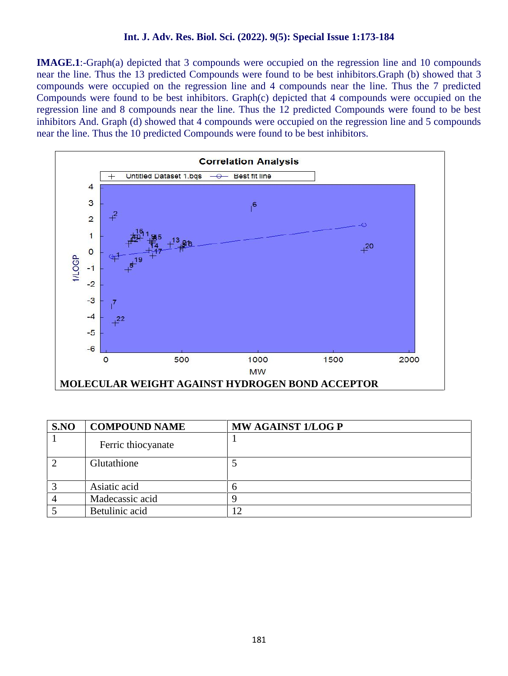**IMAGE.1**:-Graph(a) depicted that 3 compounds were occupied on the regression line and 10 compounds near the line. Thus the 13 predicted Compounds were found to be best inhibitors.Graph (b) showed that 3 compounds were occupied on the regression line and 4 compounds near the line. Thus the 7 predicted Compounds were found to be best inhibitors. Graph(c) depicted that 4 compounds were occupied on the regression line and 8 compounds near the line. Thus the 12 predicted Compounds were found to be best inhibitors And. Graph (d) showed that 4 compounds were occupied on the regression line and 5 compounds near the line. Thus the 10 predicted Compounds were found to be best inhibitors.



| S.NO | <b>COMPOUND NAME</b> | MW AGAINST 1/LOG P |
|------|----------------------|--------------------|
|      | Ferric thiocyanate   |                    |
|      | Glutathione          |                    |
|      | Asiatic acid         |                    |
|      | Madecassic acid      |                    |
|      | Betulinic acid       |                    |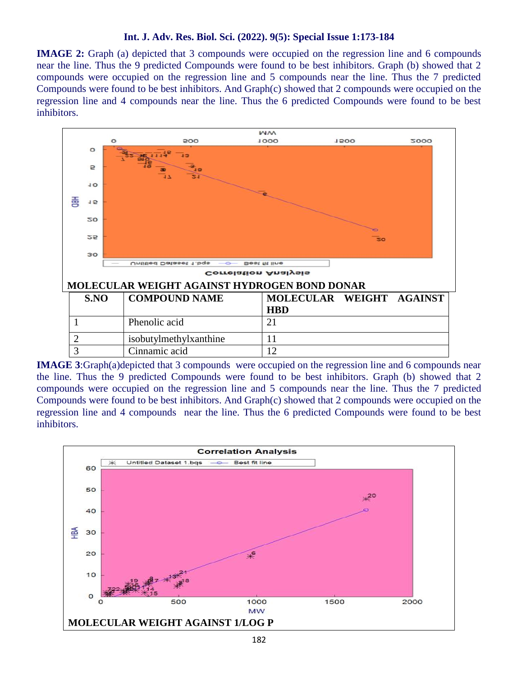**IMAGE 2:** Graph (a) depicted that 3 compounds were occupied on the regression line and 6 compounds near the line. Thus the 9 predicted Compounds were found to be best inhibitors. Graph (b) showed that 2 compounds were occupied on the regression line and 5 compounds near the line. Thus the 7 predicted Compounds were found to be best inhibitors. And Graph(c) showed that 2 compounds were occupied on the regression line and 4 compounds near the line. Thus the 6 predicted Compounds were found to be best inhibitors.



**IMAGE 3**:Graph(a)depicted that 3 compounds were occupied on the regression line and 6 compounds near the line. Thus the 9 predicted Compounds were found to be best inhibitors. Graph (b) showed that 2 compounds were occupied on the regression line and 5 compounds near the line. Thus the 7 predicted Compounds were found to be best inhibitors. And Graph(c) showed that 2 compounds were occupied on the regression line and 4 compounds near the line. Thus the 6 predicted Compounds were found to be best inhibitors.

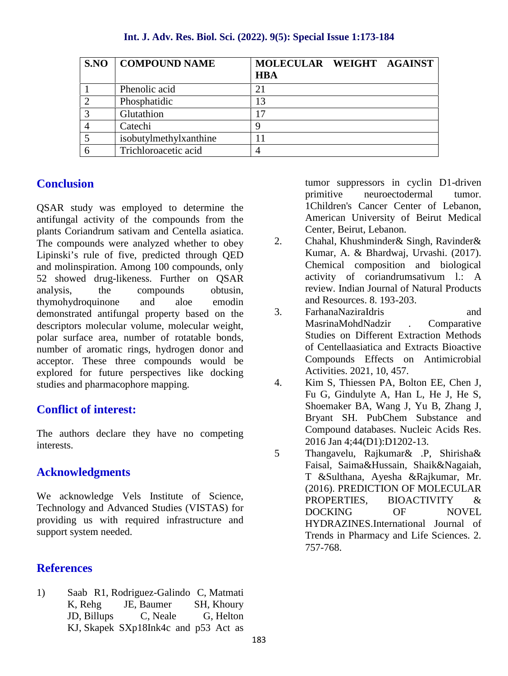|               | <b>S.NO   COMPOUND NAME</b> | MOLECULAR WEIGHT AGAINST<br><b>HBA</b> |
|---------------|-----------------------------|----------------------------------------|
|               | Phenolic acid               | 21                                     |
|               | Phosphatidic                | 13                                     |
| $\mathcal{L}$ | Glutathion                  | 7                                      |
|               | Catechi                     | a                                      |
|               | isobutylmethylxanthine      |                                        |
|               | Trichloroacetic acid        |                                        |

## **Conclusion**

QSAR study was employed to determine the antifungal activity of the compounds from the plants Coriandrum sativam and Centella asiatica. The compounds were analyzed whether to obey 2. Lipinski's rule of five, predicted through QED and molinspiration. Among 100 compounds, only 52 showed drug-likeness. Further on QSAR analysis, the compounds obtusin, thymohydroquinone and aloe emodin<br>demonstrated antifuncal property based on the 3 demonstrated antifungal property based on the descriptors molecular volume, molecular weight, polar surface area, number of rotatable bonds, number of aromatic rings, hydrogen donor and acceptor. These three compounds would be explored for future perspectives like docking<br>studies and pharmacophore manning studies and pharmacophore mapping.

# **Conflict of interest:**

The authors declare they have no competing interests.

## **Acknowledgments**

We acknowledge Vels Institute of Science, Technology and Advanced Studies (VISTAS) for providing us with required infrastructure and support system needed.

## **References**

1) Saab R1, Rodriguez-Galindo C, Matmati K, Rehg JE, Baumer SH, Khoury JD, Billups C, Neale G, Helton KJ, Skapek SXp18Ink4c and p53 Act as

tumor suppressors in cyclin D1-driven primitive neuroectodermal tumor. 1Children's Cancer Center of Lebanon, American University of Beirut Medical Center, Beirut, Lebanon.

- 2. Chahal, Khushminder& Singh, Ravinder& Kumar, A. & Bhardwaj, Urvashi. (2017). Chemical composition and biological activity of coriandrumsativum l.: A review. Indian Journal of Natural Products and Resources. 8. 193-203.
- 3. FarhanaNaziraIdris and MasrinaMohdNadzir . Comparative Studies on Different Extraction Methods of Centellaasiatica and Extracts Bioactive Compounds Effects on Antimicrobial Activities. 2021, 10, 457.
- 4. Kim S, Thiessen PA, Bolton EE, Chen J, Fu G, Gindulyte A, Han L, He J, He S, Shoemaker BA, Wang J, Yu B, Zhang J, Bryant SH. PubChem Substance and Compound databases. Nucleic Acids Res. 2016 Jan 4;44(D1):D1202-13.
- 5 Thangavelu, Rajkumar& .P, Shirisha& Faisal, Saima&Hussain, Shaik&Nagaiah, T &Sulthana, Ayesha &Rajkumar, Mr. (2016). PREDICTION OF MOLECULAR PROPERTIES, BIOACTIVITY & DOCKING OF NOVEL HYDRAZINES.International Journal of Trends in Pharmacy and Life Sciences. 2. 757-768.